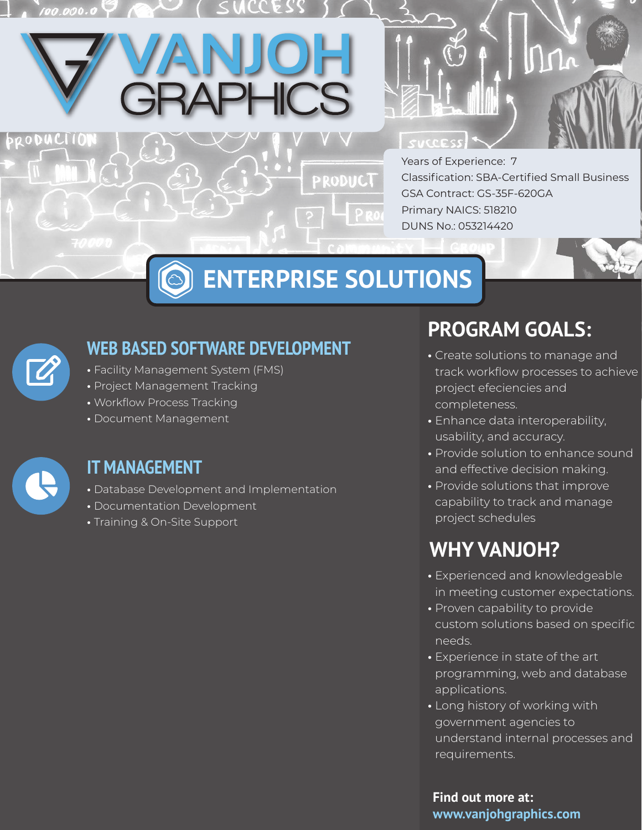# SUCCESS

Years of Experience: 7 Classification: SBA-Certified Small Business GSA Contract: GS-35F-620GA Primary NAICS: 518210 DUNS No.: 053214420

## **ENTERPRISE SOLUTIONS**

PRODUCT

#### **WEB BASED SOFTWARE DEVELOPMENT**

- Facility Management System (FMS)
- Project Management Tracking
- Workflow Process Tracking
- Document Management



RODUCII

#### **IT MANAGEMENT**

- Database Development and Implementation
- Documentation Development
- Training & On-Site Support

## **PROGRAM GOALS:**

- Create solutions to manage and track workflow processes to achieve project efeciencies and completeness.
- Enhance data interoperability, usability, and accuracy.
- Provide solution to enhance sound and effective decision making.
- Provide solutions that improve capability to track and manage project schedules

## **WHY VANJOH?**

- Experienced and knowledgeable in meeting customer expectations.
- Proven capability to provide custom solutions based on specific needs.
- Experience in state of the art programming, web and database applications.
- Long history of working with government agencies to understand internal processes and requirements.

**Find out more at: www.vanjohgraphics.com**